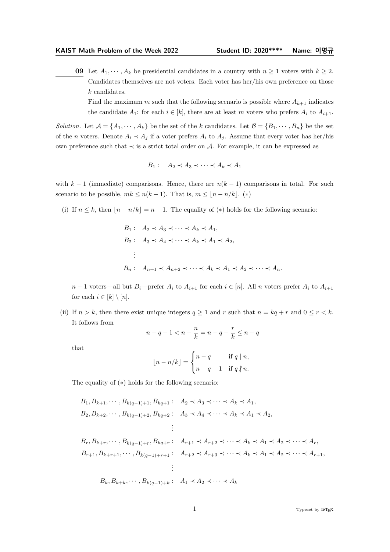**09** Let  $A_1, \dots, A_k$  be presidential candidates in a country with  $n \geq 1$  voters with  $k \geq 2$ . Candidates themselves are not voters. Each voter has her/his own preference on those k candidates.

Find the maximum m such that the following scenario is possible where  $A_{k+1}$  indicates the candidate  $A_1$ : for each  $i \in [k]$ , there are at least m voters who prefers  $A_i$  to  $A_{i+1}$ .

Solution. Let  $\mathcal{A} = \{A_1, \dots, A_k\}$  be the set of the k candidates. Let  $\mathcal{B} = \{B_1, \dots, B_n\}$  be the set of the *n* voters. Denote  $A_i \prec A_j$  if a voter prefers  $A_i$  to  $A_j$ . Assume that every voter has her/his own preference such that ≺ is a strict total order on A. For example, it can be expressed as

$$
B_1: A_2 \prec A_3 \prec \cdots \prec A_k \prec A_1
$$

with  $k-1$  (immediate) comparisons. Hence, there are  $n(k-1)$  comparisons in total. For such scenario to be possible,  $mk \leq n(k-1)$ . That is,  $m \leq \lfloor n - n/k \rfloor$ . (\*)

(i) If  $n \leq k$ , then  $\lfloor n - n/k \rfloor = n - 1$ . The equality of  $(*)$  holds for the following scenario:

$$
B_1: A_2 \prec A_3 \prec \cdots \prec A_k \prec A_1,
$$
  
\n
$$
B_2: A_3 \prec A_4 \prec \cdots \prec A_k \prec A_1 \prec A_2,
$$
  
\n
$$
\vdots
$$
  
\n
$$
B_n: A_{n+1} \prec A_{n+2} \prec \cdots \prec A_k \prec A_1 \prec A_2 \prec \cdots \prec A_n.
$$

 $n-1$  voters—all but  $B_i$ —prefer  $A_i$  to  $A_{i+1}$  for each  $i \in [n]$ . All n voters prefer  $A_i$  to  $A_{i+1}$ for each  $i \in [k] \setminus [n]$ .

(ii) If  $n > k$ , then there exist unique integers  $q \ge 1$  and r such that  $n = kq + r$  and  $0 \le r < k$ . It follows from

$$
n - q - 1 < n - \frac{n}{k} = n - q - \frac{r}{k} \le n - q
$$

that

$$
\lfloor n - n/k \rfloor = \begin{cases} n - q & \text{if } q \mid n, \\ n - q - 1 & \text{if } q \nmid n. \end{cases}
$$

The equality of (∗) holds for the following scenario:

$$
B_{1}, B_{k+1}, \dots, B_{k(q-1)+1}, B_{kq+1} : A_{2} \prec A_{3} \prec \dots \prec A_{k} \prec A_{1},
$$
  
\n
$$
B_{2}, B_{k+2}, \dots, B_{k(q-1)+2}, B_{kq+2} : A_{3} \prec A_{4} \prec \dots \prec A_{k} \prec A_{1} \prec A_{2},
$$
  
\n
$$
\vdots
$$
  
\n
$$
B_{r}, B_{k+r}, \dots, B_{k(q-1)+r}, B_{kq+r} : A_{r+1} \prec A_{r+2} \prec \dots \prec A_{k} \prec A_{1} \prec A_{2} \prec \dots \prec A_{r},
$$
  
\n
$$
B_{r+1}, B_{k+r+1}, \dots, B_{k(q-1)+r+1} : A_{r+2} \prec A_{r+3} \prec \dots \prec A_{k} \prec A_{1} \prec A_{2} \prec \dots \prec A_{r+1},
$$
  
\n
$$
\vdots
$$
  
\n
$$
B_{k}, B_{k+k}, \dots, B_{k(q-1)+k} : A_{1} \prec A_{2} \prec \dots \prec A_{k}
$$